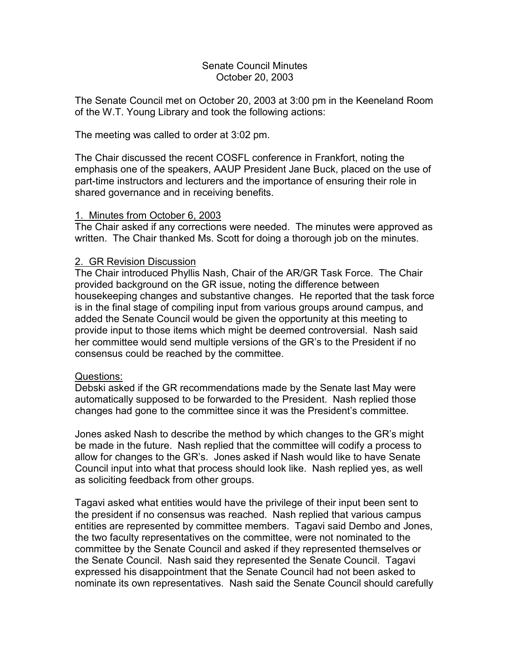# Senate Council Minutes October 20, 2003

The Senate Council met on October 20, 2003 at 3:00 pm in the Keeneland Room of the W.T. Young Library and took the following actions:

# The meeting was called to order at 3:02 pm.

The Chair discussed the recent COSFL conference in Frankfort, noting the emphasis one of the speakers, AAUP President Jane Buck, placed on the use of part-time instructors and lecturers and the importance of ensuring their role in shared governance and in receiving benefits.

# 1. Minutes from October 6, 2003

The Chair asked if any corrections were needed. The minutes were approved as written. The Chair thanked Ms. Scott for doing a thorough job on the minutes.

# 2. GR Revision Discussion

The Chair introduced Phyllis Nash, Chair of the AR/GR Task Force. The Chair provided background on the GR issue, noting the difference between housekeeping changes and substantive changes. He reported that the task force is in the final stage of compiling input from various groups around campus, and added the Senate Council would be given the opportunity at this meeting to provide input to those items which might be deemed controversial. Nash said her committee would send multiple versions of the GR's to the President if no consensus could be reached by the committee.

## Questions:

Debski asked if the GR recommendations made by the Senate last May were automatically supposed to be forwarded to the President. Nash replied those changes had gone to the committee since it was the President's committee.

Jones asked Nash to describe the method by which changes to the GR's might be made in the future. Nash replied that the committee will codify a process to allow for changes to the GR's. Jones asked if Nash would like to have Senate Council input into what that process should look like. Nash replied yes, as well as soliciting feedback from other groups.

Tagavi asked what entities would have the privilege of their input been sent to the president if no consensus was reached. Nash replied that various campus entities are represented by committee members. Tagavi said Dembo and Jones, the two faculty representatives on the committee, were not nominated to the committee by the Senate Council and asked if they represented themselves or the Senate Council. Nash said they represented the Senate Council. Tagavi expressed his disappointment that the Senate Council had not been asked to nominate its own representatives. Nash said the Senate Council should carefully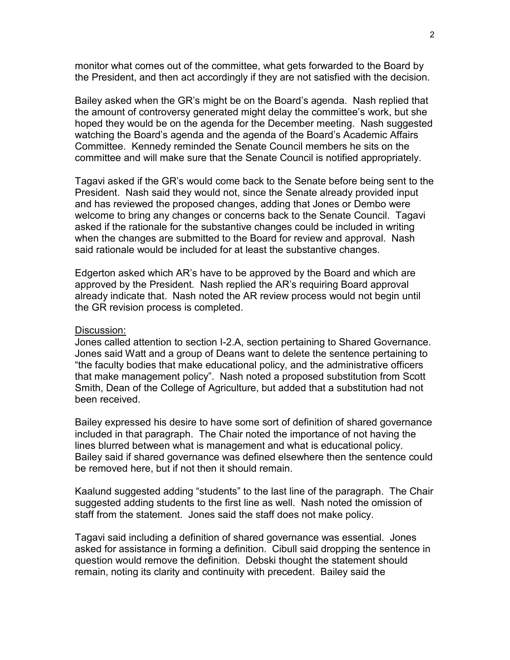monitor what comes out of the committee, what gets forwarded to the Board by the President, and then act accordingly if they are not satisfied with the decision.

Bailey asked when the GR's might be on the Board's agenda. Nash replied that the amount of controversy generated might delay the committee's work, but she hoped they would be on the agenda for the December meeting. Nash suggested watching the Board's agenda and the agenda of the Board's Academic Affairs Committee. Kennedy reminded the Senate Council members he sits on the committee and will make sure that the Senate Council is notified appropriately.

Tagavi asked if the GR's would come back to the Senate before being sent to the President. Nash said they would not, since the Senate already provided input and has reviewed the proposed changes, adding that Jones or Dembo were welcome to bring any changes or concerns back to the Senate Council. Tagavi asked if the rationale for the substantive changes could be included in writing when the changes are submitted to the Board for review and approval. Nash said rationale would be included for at least the substantive changes.

Edgerton asked which AR's have to be approved by the Board and which are approved by the President. Nash replied the AR's requiring Board approval already indicate that. Nash noted the AR review process would not begin until the GR revision process is completed.

### Discussion:

Jones called attention to section I-2.A, section pertaining to Shared Governance. Jones said Watt and a group of Deans want to delete the sentence pertaining to "the faculty bodies that make educational policy, and the administrative officers that make management policy". Nash noted a proposed substitution from Scott Smith, Dean of the College of Agriculture, but added that a substitution had not been received.

Bailey expressed his desire to have some sort of definition of shared governance included in that paragraph. The Chair noted the importance of not having the lines blurred between what is management and what is educational policy. Bailey said if shared governance was defined elsewhere then the sentence could be removed here, but if not then it should remain.

Kaalund suggested adding "students" to the last line of the paragraph. The Chair suggested adding students to the first line as well. Nash noted the omission of staff from the statement. Jones said the staff does not make policy.

Tagavi said including a definition of shared governance was essential. Jones asked for assistance in forming a definition. Cibull said dropping the sentence in question would remove the definition. Debski thought the statement should remain, noting its clarity and continuity with precedent. Bailey said the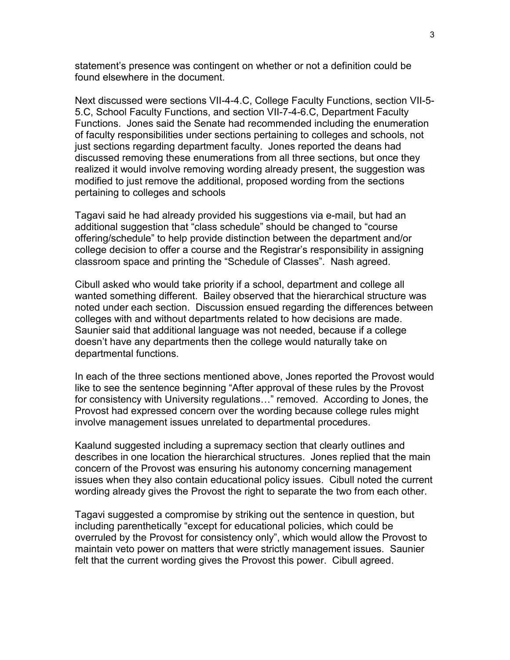statement's presence was contingent on whether or not a definition could be found elsewhere in the document.

Next discussed were sections VII-4-4.C, College Faculty Functions, section VII-5- 5.C, School Faculty Functions, and section VII-7-4-6.C, Department Faculty Functions. Jones said the Senate had recommended including the enumeration of faculty responsibilities under sections pertaining to colleges and schools, not just sections regarding department faculty. Jones reported the deans had discussed removing these enumerations from all three sections, but once they realized it would involve removing wording already present, the suggestion was modified to just remove the additional, proposed wording from the sections pertaining to colleges and schools

Tagavi said he had already provided his suggestions via e-mail, but had an additional suggestion that "class schedule" should be changed to "course offering/schedule" to help provide distinction between the department and/or college decision to offer a course and the Registrar's responsibility in assigning classroom space and printing the "Schedule of Classes". Nash agreed.

Cibull asked who would take priority if a school, department and college all wanted something different. Bailey observed that the hierarchical structure was noted under each section. Discussion ensued regarding the differences between colleges with and without departments related to how decisions are made. Saunier said that additional language was not needed, because if a college doesn't have any departments then the college would naturally take on departmental functions.

In each of the three sections mentioned above, Jones reported the Provost would like to see the sentence beginning "After approval of these rules by the Provost for consistency with University regulations…" removed. According to Jones, the Provost had expressed concern over the wording because college rules might involve management issues unrelated to departmental procedures.

Kaalund suggested including a supremacy section that clearly outlines and describes in one location the hierarchical structures. Jones replied that the main concern of the Provost was ensuring his autonomy concerning management issues when they also contain educational policy issues. Cibull noted the current wording already gives the Provost the right to separate the two from each other.

Tagavi suggested a compromise by striking out the sentence in question, but including parenthetically "except for educational policies, which could be overruled by the Provost for consistency only", which would allow the Provost to maintain veto power on matters that were strictly management issues. Saunier felt that the current wording gives the Provost this power. Cibull agreed.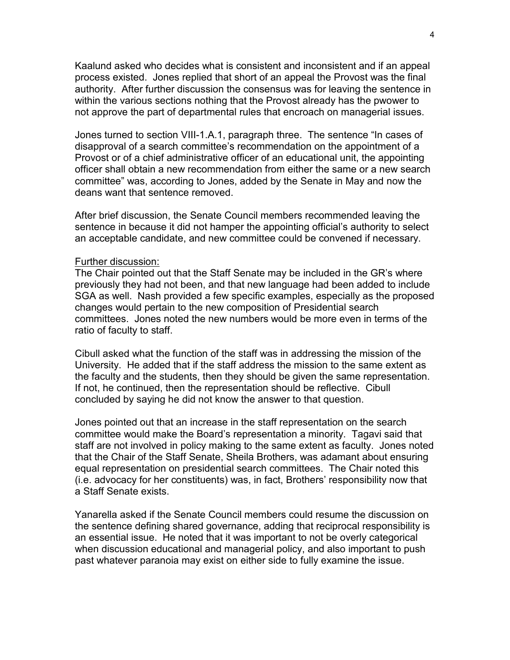Kaalund asked who decides what is consistent and inconsistent and if an appeal process existed. Jones replied that short of an appeal the Provost was the final authority. After further discussion the consensus was for leaving the sentence in within the various sections nothing that the Provost already has the pwower to not approve the part of departmental rules that encroach on managerial issues.

Jones turned to section VIII-1.A.1, paragraph three. The sentence "In cases of disapproval of a search committee's recommendation on the appointment of a Provost or of a chief administrative officer of an educational unit, the appointing officer shall obtain a new recommendation from either the same or a new search committee" was, according to Jones, added by the Senate in May and now the deans want that sentence removed.

After brief discussion, the Senate Council members recommended leaving the sentence in because it did not hamper the appointing official's authority to select an acceptable candidate, and new committee could be convened if necessary.

#### Further discussion:

The Chair pointed out that the Staff Senate may be included in the GR's where previously they had not been, and that new language had been added to include SGA as well. Nash provided a few specific examples, especially as the proposed changes would pertain to the new composition of Presidential search committees. Jones noted the new numbers would be more even in terms of the ratio of faculty to staff.

Cibull asked what the function of the staff was in addressing the mission of the University. He added that if the staff address the mission to the same extent as the faculty and the students, then they should be given the same representation. If not, he continued, then the representation should be reflective. Cibull concluded by saying he did not know the answer to that question.

Jones pointed out that an increase in the staff representation on the search committee would make the Board's representation a minority. Tagavi said that staff are not involved in policy making to the same extent as faculty. Jones noted that the Chair of the Staff Senate, Sheila Brothers, was adamant about ensuring equal representation on presidential search committees. The Chair noted this (i.e. advocacy for her constituents) was, in fact, Brothers' responsibility now that a Staff Senate exists.

Yanarella asked if the Senate Council members could resume the discussion on the sentence defining shared governance, adding that reciprocal responsibility is an essential issue. He noted that it was important to not be overly categorical when discussion educational and managerial policy, and also important to push past whatever paranoia may exist on either side to fully examine the issue.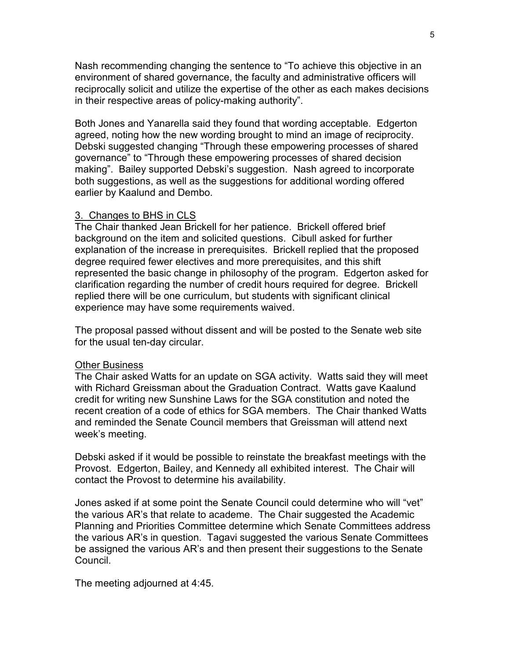Nash recommending changing the sentence to "To achieve this objective in an environment of shared governance, the faculty and administrative officers will reciprocally solicit and utilize the expertise of the other as each makes decisions in their respective areas of policy-making authority".

Both Jones and Yanarella said they found that wording acceptable. Edgerton agreed, noting how the new wording brought to mind an image of reciprocity. Debski suggested changing "Through these empowering processes of shared governance" to "Through these empowering processes of shared decision making". Bailey supported Debski's suggestion. Nash agreed to incorporate both suggestions, as well as the suggestions for additional wording offered earlier by Kaalund and Dembo.

## 3. Changes to BHS in CLS

The Chair thanked Jean Brickell for her patience. Brickell offered brief background on the item and solicited questions. Cibull asked for further explanation of the increase in prerequisites. Brickell replied that the proposed degree required fewer electives and more prerequisites, and this shift represented the basic change in philosophy of the program. Edgerton asked for clarification regarding the number of credit hours required for degree. Brickell replied there will be one curriculum, but students with significant clinical experience may have some requirements waived.

The proposal passed without dissent and will be posted to the Senate web site for the usual ten-day circular.

#### Other Business

The Chair asked Watts for an update on SGA activity. Watts said they will meet with Richard Greissman about the Graduation Contract. Watts gave Kaalund credit for writing new Sunshine Laws for the SGA constitution and noted the recent creation of a code of ethics for SGA members. The Chair thanked Watts and reminded the Senate Council members that Greissman will attend next week's meeting.

Debski asked if it would be possible to reinstate the breakfast meetings with the Provost. Edgerton, Bailey, and Kennedy all exhibited interest. The Chair will contact the Provost to determine his availability.

Jones asked if at some point the Senate Council could determine who will "vet" the various AR's that relate to academe. The Chair suggested the Academic Planning and Priorities Committee determine which Senate Committees address the various AR's in question. Tagavi suggested the various Senate Committees be assigned the various AR's and then present their suggestions to the Senate Council.

The meeting adjourned at 4:45.